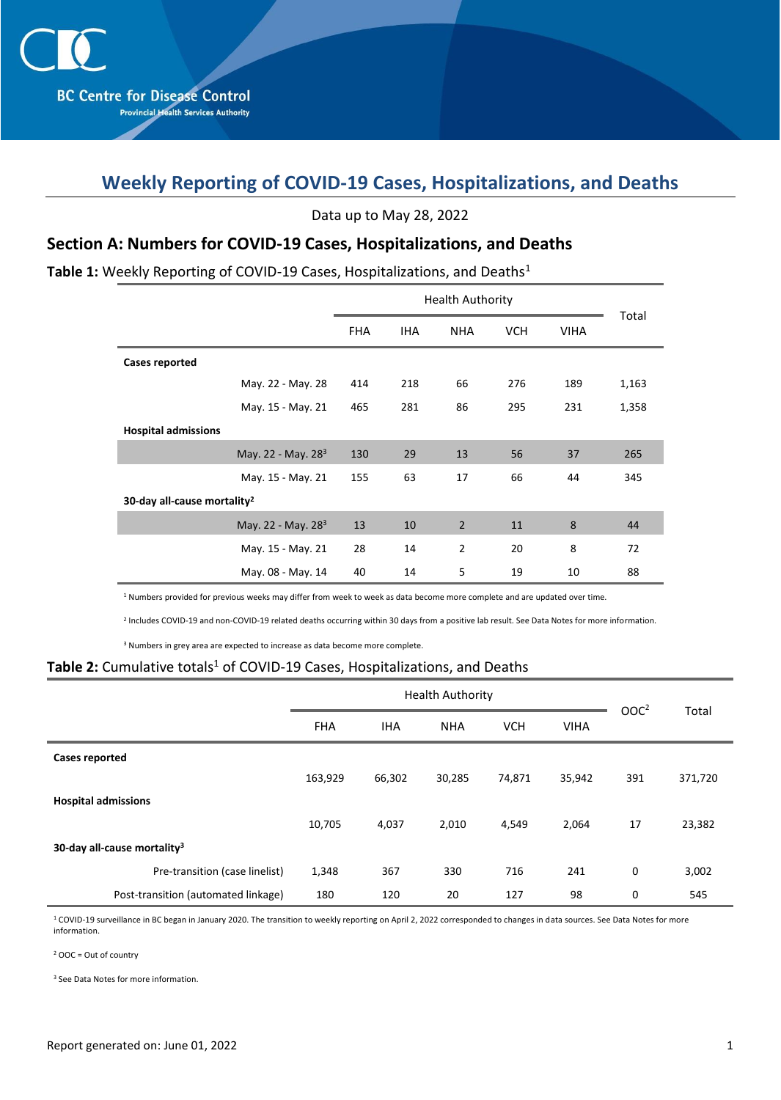# **Weekly Reporting of COVID-19 Cases, Hospitalizations, and Deaths**

Data up to May 28, 2022

### **Section A: Numbers for COVID-19 Cases, Hospitalizations, and Deaths**

#### Table 1: Weekly Reporting of COVID-19 Cases, Hospitalizations, and Deaths<sup>1</sup>

|                                         | <b>FHA</b> | <b>IHA</b> | <b>NHA</b>     | <b>VCH</b> | <b>VIHA</b> | Total |  |  |  |  |
|-----------------------------------------|------------|------------|----------------|------------|-------------|-------|--|--|--|--|
| <b>Cases reported</b>                   |            |            |                |            |             |       |  |  |  |  |
| May. 22 - May. 28                       | 414        | 218        | 66             | 276        | 189         | 1,163 |  |  |  |  |
| May. 15 - May. 21                       | 465        | 281        | 86             | 295        | 231         | 1,358 |  |  |  |  |
| <b>Hospital admissions</b>              |            |            |                |            |             |       |  |  |  |  |
| May. 22 - May. 28 <sup>3</sup>          | 130        | 29         | 13             | 56         | 37          | 265   |  |  |  |  |
| May. 15 - May. 21                       | 155        | 63         | 17             | 66         | 44          | 345   |  |  |  |  |
| 30-day all-cause mortality <sup>2</sup> |            |            |                |            |             |       |  |  |  |  |
| May. 22 - May. 28 <sup>3</sup>          | 13         | 10         | $\overline{2}$ | 11         | 8           | 44    |  |  |  |  |
| May. 15 - May. 21                       | 28         | 14         | $\overline{2}$ | 20         | 8           | 72    |  |  |  |  |
| May. 08 - May. 14                       | 40         | 14         | 5              | 19         | 10          | 88    |  |  |  |  |

<sup>1</sup> Numbers provided for previous weeks may differ from week to week as data become more complete and are updated over time.

2 Includes COVID-19 and non-COVID-19 related deaths occurring within 30 days from a positive lab result. See Data Notes for more information.

<sup>3</sup> Numbers in grey area are expected to increase as data become more complete.

#### Table 2: Cumulative totals<sup>1</sup> of COVID-19 Cases, Hospitalizations, and Deaths

|                                         |            | <b>Health Authority</b> | OOC <sup>2</sup> |            |             |             |         |
|-----------------------------------------|------------|-------------------------|------------------|------------|-------------|-------------|---------|
|                                         | <b>FHA</b> | <b>IHA</b>              | <b>NHA</b>       | <b>VCH</b> | <b>VIHA</b> |             | Total   |
| <b>Cases reported</b>                   |            |                         |                  |            |             |             |         |
|                                         | 163,929    | 66,302                  | 30,285           | 74,871     | 35,942      | 391         | 371,720 |
| <b>Hospital admissions</b>              |            |                         |                  |            |             |             |         |
|                                         | 10,705     | 4,037                   | 2,010            | 4,549      | 2,064       | 17          | 23,382  |
| 30-day all-cause mortality <sup>3</sup> |            |                         |                  |            |             |             |         |
| Pre-transition (case linelist)          | 1,348      | 367                     | 330              | 716        | 241         | $\mathbf 0$ | 3,002   |
| Post-transition (automated linkage)     | 180        | 120                     | 20               | 127        | 98          | 0           | 545     |

<sup>1</sup> COVID-19 surveillance in BC began in January 2020. The transition to weekly reporting on April 2, 2022 corresponded to changes in data sources. See Data Notes for more information.

<sup>2</sup> OOC = Out of country

<sup>3</sup> See Data Notes for more information.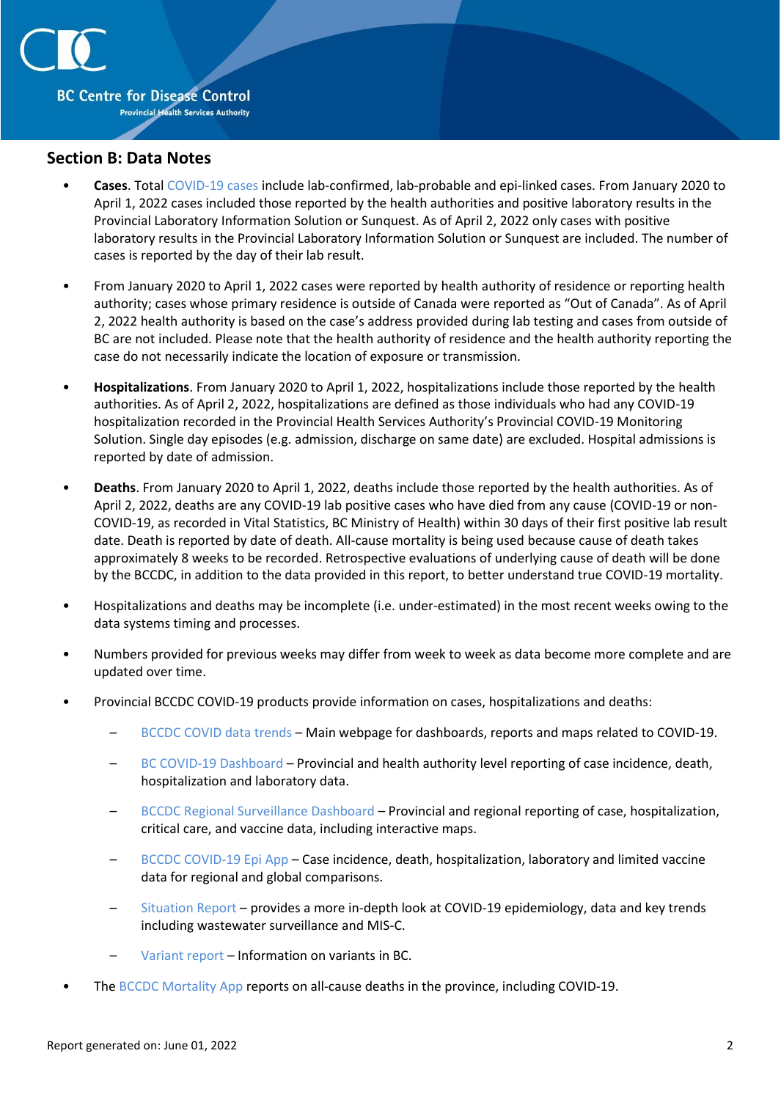

#### **Section B: Data Notes**

- **Cases**. Total [COVID-19 cases](http://www.bccdc.ca/health-professionals/clinical-resources/case-definitions/covid-19-(novel-coronavirus)) include lab-confirmed, lab-probable and epi-linked cases. From January 2020 to April 1, 2022 cases included those reported by the health authorities and positive laboratory results in the Provincial Laboratory Information Solution or Sunquest. As of April 2, 2022 only cases with positive laboratory results in the Provincial Laboratory Information Solution or Sunquest are included. The number of cases is reported by the day of their lab result.
- From January 2020 to April 1, 2022 cases were reported by health authority of residence or reporting health authority; cases whose primary residence is outside of Canada were reported as "Out of Canada". As of April 2, 2022 health authority is based on the case's address provided during lab testing and cases from outside of BC are not included. Please note that the health authority of residence and the health authority reporting the case do not necessarily indicate the location of exposure or transmission.
- **Hospitalizations**. From January 2020 to April 1, 2022, hospitalizations include those reported by the health authorities. As of April 2, 2022, hospitalizations are defined as those individuals who had any COVID-19 hospitalization recorded in the Provincial Health Services Authority's Provincial COVID-19 Monitoring Solution. Single day episodes (e.g. admission, discharge on same date) are excluded. Hospital admissions is reported by date of admission.
- **Deaths**. From January 2020 to April 1, 2022, deaths include those reported by the health authorities. As of April 2, 2022, deaths are any COVID-19 lab positive cases who have died from any cause (COVID-19 or non-COVID-19, as recorded in Vital Statistics, BC Ministry of Health) within 30 days of their first positive lab result date. Death is reported by date of death. All-cause mortality is being used because cause of death takes approximately 8 weeks to be recorded. Retrospective evaluations of underlying cause of death will be done by the BCCDC, in addition to the data provided in this report, to better understand true COVID-19 mortality.
- Hospitalizations and deaths may be incomplete (i.e. under-estimated) in the most recent weeks owing to the data systems timing and processes.
- Numbers provided for previous weeks may differ from week to week as data become more complete and are updated over time.
- Provincial BCCDC COVID-19 products provide information on cases, hospitalizations and deaths:
	- [BCCDC COVID data trends](http://www.bccdc.ca/health-info/diseases-conditions/covid-19/data-trends) Main webpage for dashboards, reports and maps related to COVID-19.
	- [BC COVID-19 Dashboard](https://experience.arcgis.com/experience/a6f23959a8b14bfa989e3cda29297ded) Provincial and health authority level reporting of case incidence, death, hospitalization and laboratory data.
	- [BCCDC Regional Surveillance Dashboard](http://www.bccdc.ca/health-professionals/data-reports/covid-19-surveillance-dashboard) Provincial and regional reporting of case, hospitalization, critical care, and vaccine data, including interactive maps.
	- [BCCDC COVID-19 Epi App](https://bccdc.shinyapps.io/covid19_global_epi_app/) Case incidence, death, hospitalization, laboratory and limited vaccine data for regional and global comparisons.
	- [Situation Report](http://www.bccdc.ca/health-info/diseases-conditions/covid-19/data#Situationreport/) provides a more in-depth look at COVID-19 epidemiology, data and key trends including wastewater surveillance and MIS-C.
	- [Variant report](http://www.bccdc.ca/health-info/diseases-conditions/covid-19/data#variants) Information on variants in BC.
- The [BCCDC Mortality App](https://bccdc.shinyapps.io/Mortality_Context_ShinyApp/) reports on all-cause deaths in the province, including COVID-19.